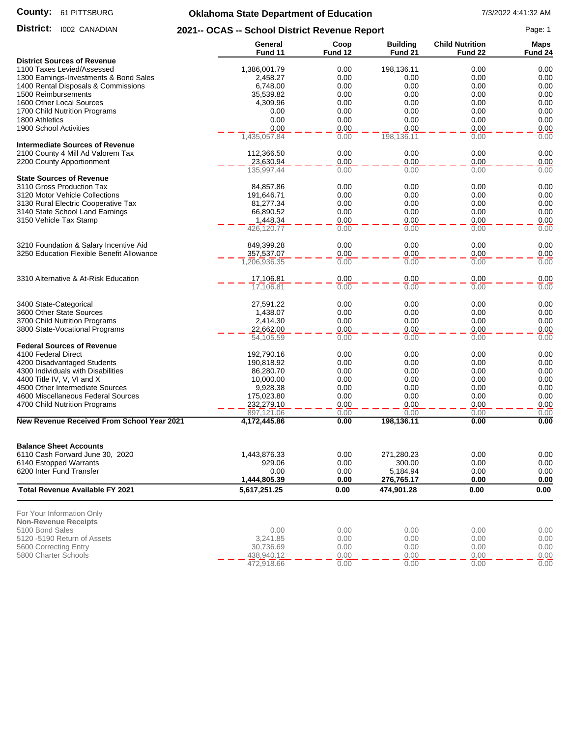#### **County:** 61 PITTSBURG

# **Oklahoma State Department of Education** 7/3/2022 4:41:32 AM

| District:<br><b>I002 CANADIAN</b>                                                   | 2021-- OCAS -- School District Revenue Report |                 |                            |                                   |                               |
|-------------------------------------------------------------------------------------|-----------------------------------------------|-----------------|----------------------------|-----------------------------------|-------------------------------|
|                                                                                     | General<br>Fund 11                            | Coop<br>Fund 12 | <b>Building</b><br>Fund 21 | <b>Child Nutrition</b><br>Fund 22 | <b>Maps</b><br><b>Fund 24</b> |
| <b>District Sources of Revenue</b>                                                  |                                               |                 |                            |                                   |                               |
| 1100 Taxes Levied/Assessed                                                          | 1,386,001.79                                  | 0.00            | 198,136.11                 | 0.00                              | 0.00                          |
| 1300 Earnings-Investments & Bond Sales                                              | 2,458.27                                      | 0.00            | 0.00                       | 0.00                              | 0.00                          |
| 1400 Rental Disposals & Commissions                                                 | 6,748.00                                      | 0.00            | 0.00                       | 0.00                              | 0.00                          |
| 1500 Reimbursements                                                                 | 35,539.82                                     | 0.00            | 0.00                       | 0.00                              | 0.00                          |
| 1600 Other Local Sources                                                            | 4,309.96                                      | 0.00            | 0.00                       | 0.00                              | 0.00                          |
| 1700 Child Nutrition Programs                                                       | 0.00                                          | 0.00            | 0.00                       | 0.00                              | 0.00                          |
| 1800 Athletics                                                                      | 0.00                                          | 0.00            | 0.00                       | 0.00                              | 0.00                          |
| 1900 School Activities                                                              | 0.00<br>$\overline{1,435,057.84}$             | 0.00<br>0.00    | 0.00<br>198,136.11         | 0.00<br>0.00                      | 0.00<br>0.00                  |
| <b>Intermediate Sources of Revenue</b>                                              |                                               |                 |                            |                                   |                               |
| 2100 County 4 Mill Ad Valorem Tax                                                   | 112,366.50                                    | 0.00            | 0.00                       | 0.00                              | 0.00                          |
| 2200 County Apportionment                                                           | 23,630.94                                     | 0.00            | 0.00                       | 0.00                              | 0.00                          |
|                                                                                     | 135,997.44                                    | 0.00            | 0.00                       | 0.00                              | 0.00                          |
| <b>State Sources of Revenue</b><br>3110 Gross Production Tax                        | 84,857.86                                     | 0.00            | 0.00                       | 0.00                              | 0.00                          |
| 3120 Motor Vehicle Collections                                                      | 191,646.71                                    | 0.00            | 0.00                       | 0.00                              | 0.00                          |
| 3130 Rural Electric Cooperative Tax                                                 | 81,277.34                                     | 0.00            | 0.00                       | 0.00                              | 0.00                          |
| 3140 State School Land Earnings                                                     | 66,890.52                                     | 0.00            | 0.00                       | 0.00                              | 0.00                          |
| 3150 Vehicle Tax Stamp                                                              | 1,448.34                                      | 0.00            | 0.00                       | 0.00                              | 0.00                          |
|                                                                                     | 426,120.77                                    | 0.00            | 0.00                       | 0.00                              | 0.00                          |
|                                                                                     |                                               | 0.00            | 0.00                       | 0.00                              |                               |
| 3210 Foundation & Salary Incentive Aid<br>3250 Education Flexible Benefit Allowance | 849,399.28                                    | 0.00            |                            | 0.00                              | 0.00                          |
|                                                                                     | 357,537.07<br>1,206,936.35                    | 0.00            | 0.00<br>0.00               | 0.00                              | 0.00<br>0.00                  |
|                                                                                     |                                               |                 |                            |                                   |                               |
| 3310 Alternative & At-Risk Education                                                | 17,106.81                                     | 0.00            | 0.00                       | 0.00                              | 0.00                          |
|                                                                                     | 17,106.81                                     | 0.00            | 0.00                       | 0.00                              | 0.00                          |
| 3400 State-Categorical                                                              | 27,591.22                                     | 0.00            | 0.00                       | 0.00                              | 0.00                          |
| 3600 Other State Sources                                                            | 1,438.07                                      | 0.00            | 0.00                       | 0.00                              | 0.00                          |
| 3700 Child Nutrition Programs                                                       | 2,414.30                                      | 0.00            | 0.00                       | 0.00                              | 0.00                          |
| 3800 State-Vocational Programs                                                      | 22,662.00                                     | 0.00            | 0.00                       | 0.00                              | 0.00                          |
|                                                                                     | 54,105.59                                     | 0.00            | 0.00                       | 0.00                              | 0.00                          |
| <b>Federal Sources of Revenue</b>                                                   |                                               |                 |                            |                                   |                               |
| 4100 Federal Direct<br>4200 Disadvantaged Students                                  | 192,790.16<br>190,818.92                      | 0.00<br>0.00    | 0.00<br>0.00               | 0.00<br>0.00                      | 0.00<br>0.00                  |
| 4300 Individuals with Disabilities                                                  | 86,280.70                                     | 0.00            | 0.00                       | 0.00                              | 0.00                          |
| 4400 Title IV, V, VI and X                                                          | 10,000.00                                     | 0.00            | 0.00                       | 0.00                              | 0.00                          |
| 4500 Other Intermediate Sources                                                     | 9,928.38                                      | 0.00            | 0.00                       | 0.00                              | 0.00                          |
| 4600 Miscellaneous Federal Sources                                                  | 175,023.80                                    | 0.00            | 0.00                       | 0.00                              | 0.00                          |
| 4700 Child Nutrition Programs                                                       | 232,279.10                                    | 0.00            | 0.00                       | 0.00                              | 0.00                          |
|                                                                                     | 897,121.06                                    | 0.00            | 0.00                       | 0.00                              | 0.00                          |
| <b>New Revenue Received From School Year 2021</b>                                   | 4,172,445.86                                  | 0.00            | 198,136.11                 | 0.00                              | 0.00                          |
|                                                                                     |                                               |                 |                            |                                   |                               |
| <b>Balance Sheet Accounts</b><br>6110 Cash Forward June 30, 2020                    | 1,443,876.33                                  | 0.00            | 271,280.23                 | 0.00                              | 0.00                          |
|                                                                                     |                                               |                 |                            |                                   |                               |
| 6140 Estopped Warrants<br>6200 Inter Fund Transfer                                  | 929.06<br>0.00                                | 0.00<br>0.00    | 300.00                     | 0.00<br>0.00                      | 0.00<br>0.00                  |
|                                                                                     | 1,444,805.39                                  | 0.00            | 5,184.94<br>276,765.17     | 0.00                              | 0.00                          |
| <b>Total Revenue Available FY 2021</b>                                              | 5,617,251.25                                  | 0.00            | 474,901.28                 | 0.00                              | 0.00                          |
| For Your Information Only                                                           |                                               |                 |                            |                                   |                               |
| <b>Non-Revenue Receipts</b>                                                         |                                               |                 |                            |                                   |                               |
| 5100 Bond Sales                                                                     | 0.00                                          | 0.00            | 0.00                       | 0.00                              | 0.00                          |
| 5120 -5190 Return of Assets                                                         | 3,241.85                                      | 0.00            | 0.00                       | 0.00                              | 0.00                          |
| 5600 Correcting Entry                                                               | 30,736.69                                     | 0.00            | 0.00                       | 0.00                              | 0.00                          |
| 5800 Charter Schools                                                                | 438,940.12                                    | 0.00            | 0.00                       | 0.00                              | 0.00                          |
|                                                                                     | 472,918.66                                    | 0.00            | 0.00                       | 0.00                              | 0.00                          |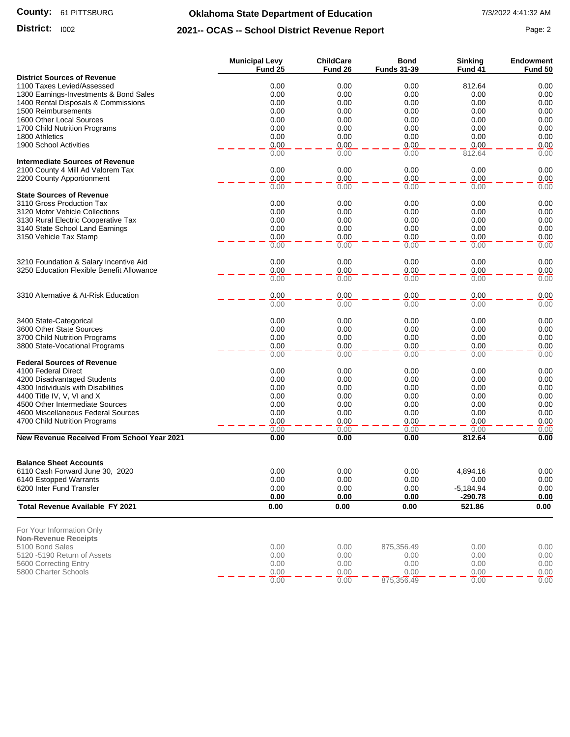#### **County:** 61 PITTSBURG

# **Oklahoma State Department of Education** 7/3/2022 4:41:32 AM

### **District:** 1002 **Page: 2 2021-- OCAS -- School District Revenue Report** Page: 2

|                                                           | <b>Municipal Levy</b> | <b>ChildCare</b> | <b>Bond</b>        | <b>Sinking</b> | <b>Endowment</b> |
|-----------------------------------------------------------|-----------------------|------------------|--------------------|----------------|------------------|
| <b>District Sources of Revenue</b>                        | Fund 25               | Fund 26          | <b>Funds 31-39</b> | Fund 41        | Fund 50          |
| 1100 Taxes Levied/Assessed                                | 0.00                  | 0.00             | 0.00               | 812.64         | 0.00             |
| 1300 Earnings-Investments & Bond Sales                    | 0.00                  | 0.00             | 0.00               | 0.00           | 0.00             |
| 1400 Rental Disposals & Commissions                       | 0.00                  | 0.00             | 0.00               | 0.00           | 0.00             |
| 1500 Reimbursements                                       | 0.00                  | 0.00             | 0.00               | 0.00           | 0.00             |
| 1600 Other Local Sources                                  | 0.00                  | 0.00             | 0.00               | 0.00           | 0.00             |
| 1700 Child Nutrition Programs                             | 0.00                  | 0.00             | 0.00               | 0.00           | 0.00             |
| 1800 Athletics                                            | 0.00                  | 0.00             | 0.00               | 0.00           | 0.00             |
| 1900 School Activities                                    | 0.00<br>0.00          | 0.00<br>0.00     | 0.00<br>0.00       | 0.00<br>812.64 | 0.00<br>0.00     |
| <b>Intermediate Sources of Revenue</b>                    |                       |                  |                    |                |                  |
| 2100 County 4 Mill Ad Valorem Tax                         | 0.00                  | 0.00             | 0.00               | 0.00           | 0.00             |
| 2200 County Apportionment                                 | 0.00                  | 0.00             | 0.00               | 0.00           | 0.00             |
|                                                           | 0.00                  | 0.00             | 0.00               | 0.00           | 0.00             |
| <b>State Sources of Revenue</b>                           |                       |                  |                    |                |                  |
| 3110 Gross Production Tax                                 | 0.00                  | 0.00             | 0.00               | 0.00           | 0.00             |
| 3120 Motor Vehicle Collections                            | 0.00                  | 0.00             | 0.00               | 0.00           | 0.00             |
| 3130 Rural Electric Cooperative Tax                       | 0.00                  | 0.00<br>0.00     | 0.00               | 0.00           | 0.00<br>0.00     |
| 3140 State School Land Earnings<br>3150 Vehicle Tax Stamp | 0.00<br>0.00          | 0.00             | 0.00<br>0.00       | 0.00<br>0.00   | 0.00             |
|                                                           | 0.00                  | 0.00             | 0.00               | 0.00           | 0.00             |
|                                                           |                       |                  |                    |                |                  |
| 3210 Foundation & Salary Incentive Aid                    | 0.00                  | 0.00             | 0.00               | 0.00           | 0.00             |
| 3250 Education Flexible Benefit Allowance                 | 0.00                  | 0.00             | 0.00               | 0.00           | 0.00             |
|                                                           | 0.00                  | 0.00             | 0.00               | 0.00           | 0.00             |
|                                                           |                       |                  |                    |                |                  |
| 3310 Alternative & At-Risk Education                      | 0.00<br>0.00          | 0.00<br>0.00     | 0.00<br>0.00       | 0.00<br>0.00   | 0.00<br>0.00     |
|                                                           |                       |                  |                    |                |                  |
| 3400 State-Categorical                                    | 0.00                  | 0.00             | 0.00               | 0.00           | 0.00             |
| 3600 Other State Sources                                  | 0.00                  | 0.00             | 0.00               | 0.00           | 0.00             |
| 3700 Child Nutrition Programs                             | 0.00                  | 0.00             | 0.00               | 0.00           | 0.00             |
| 3800 State-Vocational Programs                            | 0.00                  | 0.00             | 0.00               | 0.00           | 0.00             |
|                                                           | 0.00                  | 0.00             | 0.00               | 0.00           | 0.00             |
| <b>Federal Sources of Revenue</b>                         |                       |                  |                    |                |                  |
| 4100 Federal Direct<br>4200 Disadvantaged Students        | 0.00<br>0.00          | 0.00<br>0.00     | 0.00<br>0.00       | 0.00<br>0.00   | 0.00<br>0.00     |
| 4300 Individuals with Disabilities                        | 0.00                  | 0.00             | 0.00               | 0.00           | 0.00             |
| 4400 Title IV, V, VI and X                                | 0.00                  | 0.00             | 0.00               | 0.00           | 0.00             |
| 4500 Other Intermediate Sources                           | 0.00                  | 0.00             | 0.00               | 0.00           | 0.00             |
| 4600 Miscellaneous Federal Sources                        | 0.00                  | 0.00             | 0.00               | 0.00           | 0.00             |
| 4700 Child Nutrition Programs                             | 0.00                  | 0.00             | 0.00               | 0.00           | 0.00             |
|                                                           | 0.00                  | 0.00             | 0.00               | 0.00           | 0.00             |
| <b>New Revenue Received From School Year 2021</b>         | 0.00                  | 0.00             | 0.00               | 812.64         | 0.00             |
| <b>Balance Sheet Accounts</b>                             |                       |                  |                    |                |                  |
| 6110 Cash Forward June 30, 2020                           | 0.00                  | 0.00             | 0.00               | 4,894.16       | 0.00             |
| 6140 Estopped Warrants                                    | 0.00                  | 0.00             | 0.00               | 0.00           | 0.00             |
| 6200 Inter Fund Transfer                                  | 0.00                  | 0.00             | 0.00               | $-5,184.94$    | 0.00             |
|                                                           | 0.00                  | 0.00             | 0.00               | $-290.78$      | 0.00             |
| <b>Total Revenue Available FY 2021</b>                    | 0.00                  | 0.00             | 0.00               | 521.86         | 0.00             |
| For Your Information Only                                 |                       |                  |                    |                |                  |
| <b>Non-Revenue Receipts</b>                               |                       |                  |                    |                |                  |
| 5100 Bond Sales                                           | 0.00                  | 0.00             | 875,356.49         | 0.00           | 0.00             |
| 5120 -5190 Return of Assets                               | 0.00                  | 0.00             | 0.00               | 0.00           | 0.00             |
| 5600 Correcting Entry<br>5800 Charter Schools             | 0.00<br>0.00          | 0.00<br>0.00     | 0.00<br>0.00       | 0.00<br>0.00   | 0.00<br>0.00     |
|                                                           | 0.00                  | 0.00             | 875,356.49         | 0.00           | 0.00             |
|                                                           |                       |                  |                    |                |                  |